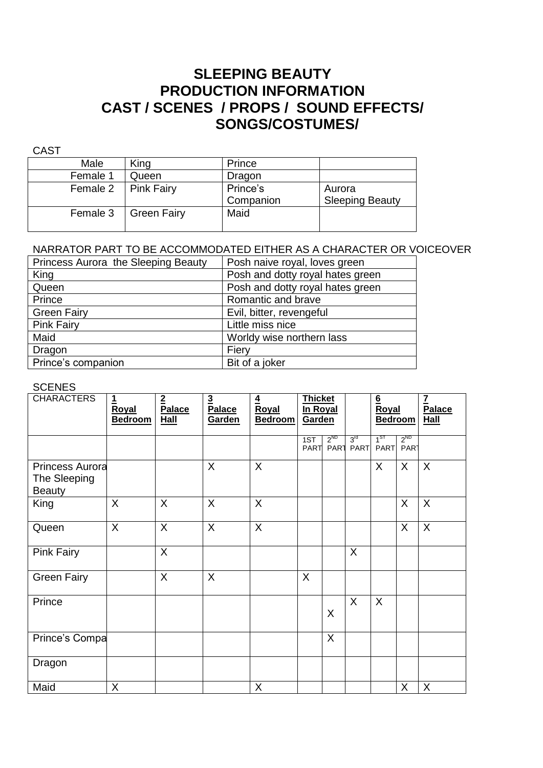## **SLEEPING BEAUTY PRODUCTION INFORMATION CAST / SCENES / PROPS / SOUND EFFECTS/ SONGS/COSTUMES/**

| v.<br>M.<br>۰,<br>۰, |
|----------------------|
|----------------------|

| Male     | King               | Prince                |                                  |
|----------|--------------------|-----------------------|----------------------------------|
| Female 1 | Queen              | Dragon                |                                  |
| Female 2 | Pink Fairy         | Prince's<br>Companion | Aurora<br><b>Sleeping Beauty</b> |
| Female 3 | <b>Green Fairy</b> | Maid                  |                                  |

#### NARRATOR PART TO BE ACCOMMODATED EITHER AS A CHARACTER OR VOICEOVER

| Princess Aurora the Sleeping Beauty | Posh naive royal, loves green    |
|-------------------------------------|----------------------------------|
| King                                | Posh and dotty royal hates green |
| Queen                               | Posh and dotty royal hates green |
| Prince                              | Romantic and brave               |
| <b>Green Fairy</b>                  | Evil, bitter, revengeful         |
| <b>Pink Fairy</b>                   | Little miss nice                 |
| Maid                                | Worldy wise northern lass        |
| Dragon                              | Fiery                            |
| Prince's companion                  | Bit of a joker                   |

#### **SCENES**

| <b>CHARACTERS</b>                                       | $\overline{1}$<br>Royal<br><b>Bedroom</b> | $\overline{2}$<br>Palace<br><b>Hall</b> | $\overline{\mathbf{3}}$<br>Palace<br>Garden | $\overline{4}$<br>Royal<br><b>Bedroom</b> | <b>Thicket</b><br>In Royal<br>Garden |                              |                                |                         |                              | $6 \overline{6}$<br>Royal<br><b>Bedroom</b> |  | $\overline{I}$<br>Palace<br><b>Hall</b> |
|---------------------------------------------------------|-------------------------------------------|-----------------------------------------|---------------------------------------------|-------------------------------------------|--------------------------------------|------------------------------|--------------------------------|-------------------------|------------------------------|---------------------------------------------|--|-----------------------------------------|
|                                                         |                                           |                                         |                                             |                                           | 1ST<br><b>PART</b>                   | $2^{ND}$<br>PAR <sub>1</sub> | 3 <sup>rd</sup><br><b>PART</b> | $1^{ST}$<br><b>PART</b> | $2^{ND}$<br>PAR <sub>1</sub> |                                             |  |                                         |
| <b>Princess Aurora</b><br>The Sleeping<br><b>Beauty</b> |                                           |                                         | $\sf X$                                     | X                                         |                                      |                              |                                | X                       | X                            | X                                           |  |                                         |
| King                                                    | X                                         | X                                       | X                                           | X                                         |                                      |                              |                                |                         | X                            | X                                           |  |                                         |
| Queen                                                   | X                                         | $\mathsf{X}$                            | $\mathsf{X}$                                | X                                         |                                      |                              |                                |                         | X                            | $\overline{X}$                              |  |                                         |
| <b>Pink Fairy</b>                                       |                                           | X                                       |                                             |                                           |                                      |                              | X                              |                         |                              |                                             |  |                                         |
| <b>Green Fairy</b>                                      |                                           | X                                       | X                                           |                                           | X                                    |                              |                                |                         |                              |                                             |  |                                         |
| Prince                                                  |                                           |                                         |                                             |                                           |                                      | X                            | X                              | $\sf X$                 |                              |                                             |  |                                         |
| Prince's Compa                                          |                                           |                                         |                                             |                                           |                                      | X                            |                                |                         |                              |                                             |  |                                         |
| Dragon                                                  |                                           |                                         |                                             |                                           |                                      |                              |                                |                         |                              |                                             |  |                                         |
| Maid                                                    | X                                         |                                         |                                             | X                                         |                                      |                              |                                |                         | X                            | X                                           |  |                                         |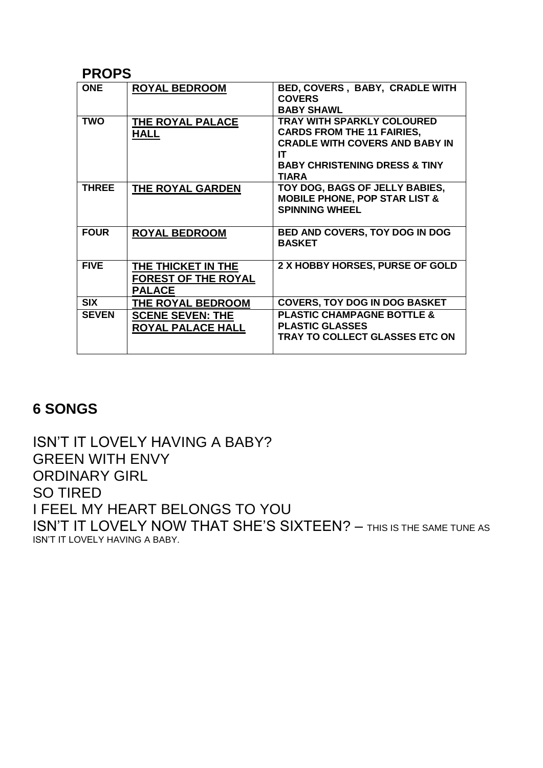#### **PROPS**

| <b>ONE</b>   | <b>ROYAL BEDROOM</b>                                              | BED, COVERS, BABY, CRADLE WITH<br><b>COVERS</b><br><b>BABY SHAWL</b>                                                                                                              |
|--------------|-------------------------------------------------------------------|-----------------------------------------------------------------------------------------------------------------------------------------------------------------------------------|
| <b>TWO</b>   | THE ROYAL PALACE<br><b>HALL</b>                                   | <b>TRAY WITH SPARKLY COLOURED</b><br><b>CARDS FROM THE 11 FAIRIES,</b><br><b>CRADLE WITH COVERS AND BABY IN</b><br>IT<br><b>BABY CHRISTENING DRESS &amp; TINY</b><br><b>TIARA</b> |
| <b>THREE</b> | THE ROYAL GARDEN                                                  | TOY DOG, BAGS OF JELLY BABIES,<br><b>MOBILE PHONE, POP STAR LIST &amp;</b><br><b>SPINNING WHEEL</b>                                                                               |
| <b>FOUR</b>  | <b>ROYAL BEDROOM</b>                                              | <b>BED AND COVERS, TOY DOG IN DOG</b><br><b>BASKET</b>                                                                                                                            |
| <b>FIVE</b>  | THE THICKET IN THE<br><b>FOREST OF THE ROYAL</b><br><b>PALACE</b> | 2 X HOBBY HORSES, PURSE OF GOLD                                                                                                                                                   |
| <b>SIX</b>   | THE ROYAL BEDROOM                                                 | <b>COVERS, TOY DOG IN DOG BASKET</b>                                                                                                                                              |
| <b>SEVEN</b> | <b>SCENE SEVEN: THE</b><br>ROYAL PALACE HALL                      | <b>PLASTIC CHAMPAGNE BOTTLE &amp;</b><br><b>PLASTIC GLASSES</b><br>TRAY TO COLLECT GLASSES ETC ON                                                                                 |

## **6 SONGS**

ISN'T IT LOVELY HAVING A BABY? GREEN WITH ENVY ORDINARY GIRL SO TIRED I FEEL MY HEART BELONGS TO YOU ISN'T IT LOVELY NOW THAT SHE'S SIXTEEN? – THIS IS THE SAME TUNE AS ISN'T IT LOVELY HAVING A BABY.